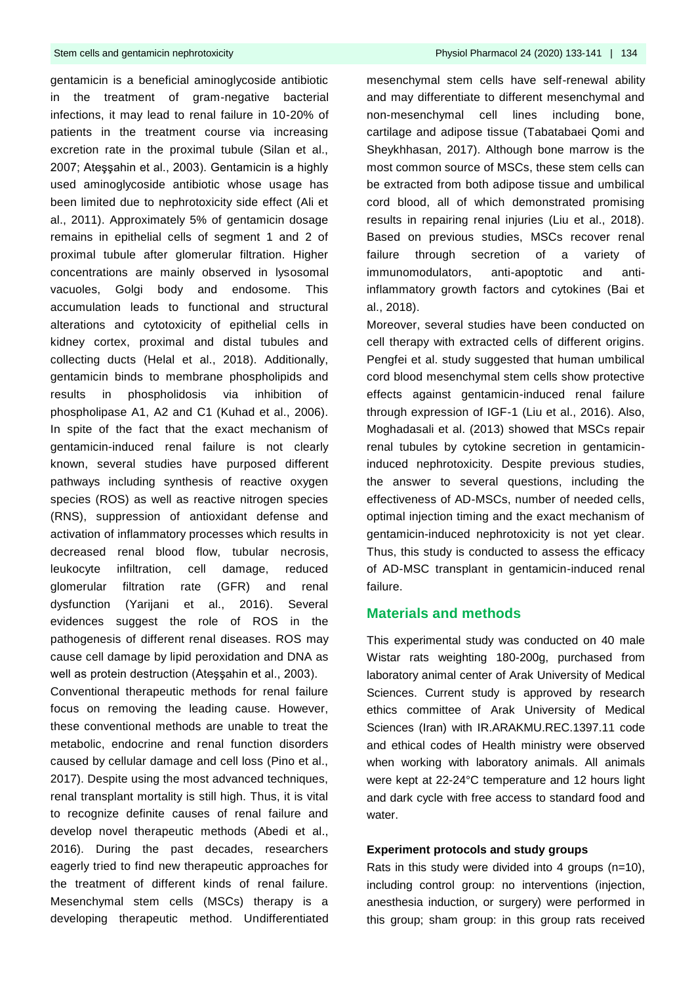gentamicin is a beneficial aminoglycoside antibiotic in the treatment of gram-negative bacterial infections, it may lead to renal failure in 10-20% of patients in the treatment course via increasing excretion rate in the proximal tubule (Silan et al., 2007; Ateşşahin et al., 2003). Gentamicin is a highly used aminoglycoside antibiotic whose usage has been limited due to nephrotoxicity side effect (Ali et al., 2011). Approximately 5% of gentamicin dosage remains in epithelial cells of segment 1 and 2 of proximal tubule after glomerular filtration. Higher concentrations are mainly observed in lysosomal vacuoles, Golgi body and endosome. This accumulation leads to functional and structural alterations and cytotoxicity of epithelial cells in kidney cortex, proximal and distal tubules and collecting ducts (Helal et al., 2018). Additionally, gentamicin binds to membrane phospholipids and results in phospholidosis via inhibition of phospholipase A1, A2 and C1 (Kuhad et al., 2006). In spite of the fact that the exact mechanism of gentamicin-induced renal failure is not clearly known, several studies have purposed different pathways including synthesis of reactive oxygen species (ROS) as well as reactive nitrogen species (RNS), suppression of antioxidant defense and activation of inflammatory processes which results in decreased renal blood flow, tubular necrosis, leukocyte infiltration, cell damage, reduced glomerular filtration rate (GFR) and renal dysfunction (Yarijani et al., 2016). Several evidences suggest the role of ROS in the pathogenesis of different renal diseases. ROS may cause cell damage by lipid peroxidation and DNA as well as protein destruction (Ateşşahin et al., 2003).

Conventional therapeutic methods for renal failure focus on removing the leading cause. However, these conventional methods are unable to treat the metabolic, endocrine and renal function disorders caused by cellular damage and cell loss (Pino et al., 2017). Despite using the most advanced techniques, renal transplant mortality is still high. Thus, it is vital to recognize definite causes of renal failure and develop novel therapeutic methods (Abedi et al., 2016). During the past decades, researchers eagerly tried to find new therapeutic approaches for the treatment of different kinds of renal failure. Mesenchymal stem cells (MSCs) therapy is a developing therapeutic method. Undifferentiated

mesenchymal stem cells have self-renewal ability and may differentiate to different mesenchymal and non-mesenchymal cell lines including bone, cartilage and adipose tissue (Tabatabaei Qomi and Sheykhhasan, 2017). Although bone marrow is the most common source of MSCs, these stem cells can be extracted from both adipose tissue and umbilical cord blood, all of which demonstrated promising results in repairing renal injuries (Liu et al., 2018). Based on previous studies, MSCs recover renal failure through secretion of a variety of immunomodulators, anti-apoptotic and antiinflammatory growth factors and cytokines (Bai et al., 2018).

Moreover, several studies have been conducted on cell therapy with extracted cells of different origins. Pengfei et al. study suggested that human umbilical cord blood mesenchymal stem cells show protective effects against gentamicin-induced renal failure through expression of IGF-1 (Liu et al., 2016). Also, Moghadasali et al. (2013) showed that MSCs repair renal tubules by cytokine secretion in gentamicininduced nephrotoxicity. Despite previous studies, the answer to several questions, including the effectiveness of AD-MSCs, number of needed cells, optimal injection timing and the exact mechanism of gentamicin-induced nephrotoxicity is not yet clear. Thus, this study is conducted to assess the efficacy of AD-MSC transplant in gentamicin-induced renal failure.

## **Materials and methods**

This experimental study was conducted on 40 male Wistar rats weighting 180-200g, purchased from laboratory animal center of Arak University of Medical Sciences. Current study is approved by research ethics committee of Arak University of Medical Sciences (Iran) with IR.ARAKMU.REC.1397.11 code and ethical codes of Health ministry were observed when working with laboratory animals. All animals were kept at 22-24°C temperature and 12 hours light and dark cycle with free access to standard food and water.

### **Experiment protocols and study groups**

Rats in this study were divided into 4 groups (n=10), including control group: no interventions (injection, anesthesia induction, or surgery) were performed in this group; sham group: in this group rats received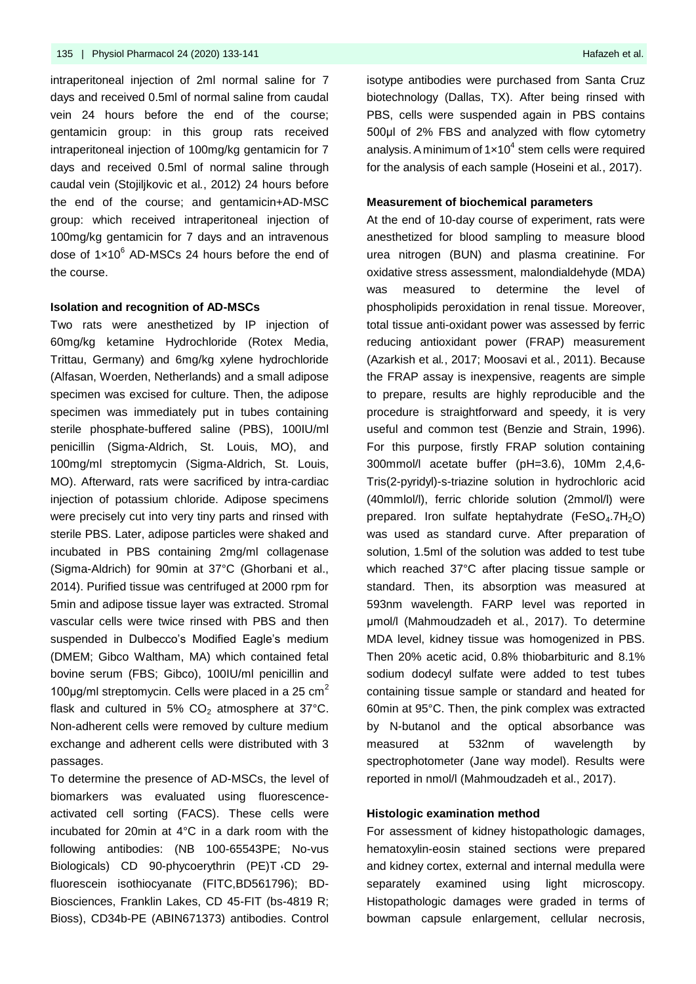intraperitoneal injection of 2ml normal saline for 7 days and received 0.5ml of normal saline from caudal vein 24 hours before the end of the course; gentamicin group: in this group rats received intraperitoneal injection of 100mg/kg gentamicin for 7 days and received 0.5ml of normal saline through caudal vein (Stojiljkovic et al*.*, 2012) 24 hours before the end of the course; and gentamicin+AD-MSC group: which received intraperitoneal injection of 100mg/kg gentamicin for 7 days and an intravenous dose of 1x10<sup>6</sup> AD-MSCs 24 hours before the end of the course.

#### **Isolation and recognition of AD-MSCs**

Two rats were anesthetized by IP injection of 60mg/kg ketamine Hydrochloride (Rotex Media, Trittau, Germany) and 6mg/kg xylene hydrochloride (Alfasan, Woerden, Netherlands) and a small adipose specimen was excised for culture. Then, the adipose specimen was immediately put in tubes containing sterile phosphate-buffered saline (PBS), 100IU/ml penicillin (Sigma-Aldrich, St. Louis, MO), and 100mg/ml streptomycin (Sigma-Aldrich, St. Louis, MO). Afterward, rats were sacrificed by intra-cardiac injection of potassium chloride. Adipose specimens were precisely cut into very tiny parts and rinsed with sterile PBS. Later, adipose particles were shaked and incubated in PBS containing 2mg/ml collagenase (Sigma-Aldrich) for 90min at 37°C (Ghorbani et al., 2014). Purified tissue was centrifuged at 2000 rpm for 5min and adipose tissue layer was extracted. Stromal vascular cells were twice rinsed with PBS and then suspended in Dulbecco's Modified Eagle's medium (DMEM; Gibco Waltham, MA) which contained fetal bovine serum (FBS; Gibco), 100IU/ml penicillin and 100µg/ml streptomycin. Cells were placed in a 25  $cm<sup>2</sup>$ flask and cultured in 5%  $CO<sub>2</sub>$  atmosphere at 37°C. Non-adherent cells were removed by culture medium exchange and adherent cells were distributed with 3 passages.

To determine the presence of AD-MSCs, the level of biomarkers was evaluated using fluorescenceactivated cell sorting (FACS). These cells were incubated for 20min at 4°C in a dark room with the following antibodies: (NB 100-65543PE; No-vus Biologicals) CD 90-phycoerythrin (PE)T ،CD 29 fluorescein isothiocyanate (FITC,BD561796); BD-Biosciences, Franklin Lakes, CD 45-FIT (bs-4819 R; Bioss), CD34b-PE (ABIN671373) antibodies. Control isotype antibodies were purchased from Santa Cruz biotechnology (Dallas, TX). After being rinsed with PBS, cells were suspended again in PBS contains 500μl of 2% FBS and analyzed with flow cytometry analysis. A minimum of  $1 \times 10^4$  stem cells were required for the analysis of each sample (Hoseini et al*.*, 2017).

#### **Measurement of biochemical parameters**

At the end of 10-day course of experiment, rats were anesthetized for blood sampling to measure blood urea nitrogen (BUN) and plasma creatinine. For oxidative stress assessment, malondialdehyde (MDA) was measured to determine the level of phospholipids peroxidation in renal tissue. Moreover, total tissue anti-oxidant power was assessed by ferric reducing antioxidant power (FRAP) measurement (Azarkish et al*.*, 2017; Moosavi et al*.*, 2011). Because the FRAP assay is inexpensive, reagents are simple to prepare, results are highly reproducible and the procedure is straightforward and speedy, it is very useful and common test (Benzie and Strain, 1996). For this purpose, firstly FRAP solution containing 300mmol/l acetate buffer (pH=3.6), 10Mm 2,4,6- Tris(2-pyridyl)-s-triazine solution in hydrochloric acid (40mmlol/l), ferric chloride solution (2mmol/l) were prepared. Iron sulfate heptahydrate  $(FeSO<sub>4</sub>.7H<sub>2</sub>O)$ was used as standard curve. After preparation of solution, 1.5ml of the solution was added to test tube which reached 37°C after placing tissue sample or standard. Then, its absorption was measured at 593nm wavelength. FARP level was reported in μmol/l (Mahmoudzadeh et al*.*, 2017). To determine MDA level, kidney tissue was homogenized in PBS. Then 20% acetic acid, 0.8% thiobarbituric and 8.1% sodium dodecyl sulfate were added to test tubes containing tissue sample or standard and heated for 60min at 95°C. Then, the pink complex was extracted by N-butanol and the optical absorbance was measured at 532nm of wavelength by spectrophotometer (Jane way model). Results were reported in nmol/l (Mahmoudzadeh et al., 2017).

#### **Histologic examination method**

For assessment of kidney histopathologic damages, hematoxylin-eosin stained sections were prepared and kidney cortex, external and internal medulla were separately examined using light microscopy. Histopathologic damages were graded in terms of bowman capsule enlargement, cellular necrosis,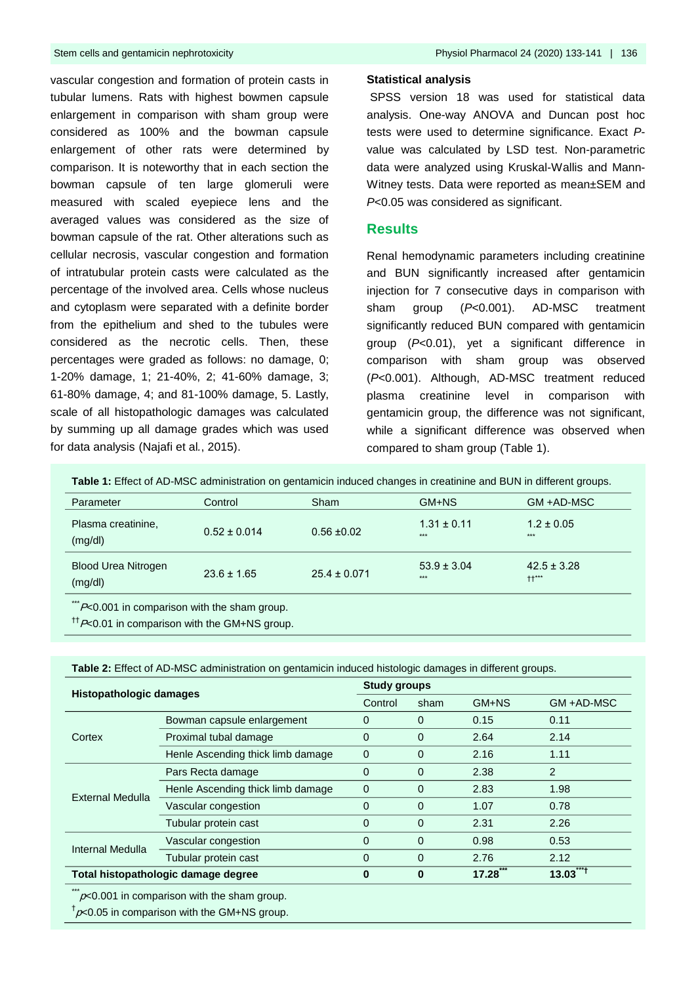vascular congestion and formation of protein casts in tubular lumens. Rats with highest bowmen capsule enlargement in comparison with sham group were considered as 100% and the bowman capsule enlargement of other rats were determined by comparison. It is noteworthy that in each section the bowman capsule of ten large glomeruli were measured with scaled eyepiece lens and the averaged values was considered as the size of bowman capsule of the rat. Other alterations such as cellular necrosis, vascular congestion and formation of intratubular protein casts were calculated as the percentage of the involved area. Cells whose nucleus and cytoplasm were separated with a definite border from the epithelium and shed to the tubules were considered as the necrotic cells. Then, these percentages were graded as follows: no damage, 0; 1-20% damage, 1; 21-40%, 2; 41-60% damage, 3; 61-80% damage, 4; and 81-100% damage, 5. Lastly, scale of all histopathologic damages was calculated by summing up all damage grades which was used for data analysis (Najafi et al*.*, 2015).

#### **Statistical analysis**

SPSS version 18 was used for statistical data analysis. One-way ANOVA and Duncan post hoc tests were used to determine significance. Exact *P*value was calculated by LSD test. Non-parametric data were analyzed using Kruskal-Wallis and Mann-Witney tests. Data were reported as mean±SEM and *P*<0.05 was considered as significant.

### **Results**

Renal hemodynamic parameters including creatinine and BUN significantly increased after gentamicin injection for 7 consecutive days in comparison with sham group (*P*<0.001). AD-MSC treatment significantly reduced BUN compared with gentamicin group (*P*<0.01), yet a significant difference in comparison with sham group was observed (*P*<0.001). Although, AD-MSC treatment reduced plasma creatinine level in comparison with gentamicin group, the difference was not significant, while a significant difference was observed when compared to sham group (Table 1).

**Table 1:** Effect of AD-MSC administration on gentamicin induced changes in creatinine and BUN in different groups.

| Parameter                                            | Control          | Sham             | GM+NS                    | GM +AD-MSC                 |
|------------------------------------------------------|------------------|------------------|--------------------------|----------------------------|
| Plasma creatinine,<br>(mg/dl)                        | $0.52 \pm 0.014$ | $0.56 \pm 0.02$  | $1.31 \pm 0.11$<br>$***$ | $1.2 \pm 0.05$<br>$***$    |
| <b>Blood Urea Nitrogen</b><br>(mg/dl)                | $23.6 \pm 1.65$  | $25.4 \pm 0.071$ | $53.9 \pm 3.04$<br>$***$ | $42.5 \pm 3.28$<br>$++***$ |
| $***$<br>$Dz$ 0.01 in comparison with the sham aroun |                  |                  |                          |                            |

on with the sham group.

 $<sup>††</sup>P<0.01$  in comparison with the GM+NS group.</sup>

| Table 2: Effect of AD-MSC administration on gentamicin induced histologic damages in different groups. |  |  |
|--------------------------------------------------------------------------------------------------------|--|--|
|                                                                                                        |  |  |

| <b>Histopathologic damages</b>      |                                   | <b>Study groups</b> |             |       |            |
|-------------------------------------|-----------------------------------|---------------------|-------------|-------|------------|
|                                     |                                   | Control             | sham        | GM+NS | GM +AD-MSC |
| Cortex                              | Bowman capsule enlargement        | 0                   | 0           | 0.15  | 0.11       |
|                                     | Proximal tubal damage             | $\mathbf 0$         | $\mathbf 0$ | 2.64  | 2.14       |
|                                     | Henle Ascending thick limb damage | $\mathbf 0$         | $\mathbf 0$ | 2.16  | 1.11       |
| External Medulla                    | Pars Recta damage                 | $\Omega$            | $\Omega$    | 2.38  | 2          |
|                                     | Henle Ascending thick limb damage | $\mathbf 0$         | $\Omega$    | 2.83  | 1.98       |
|                                     | Vascular congestion               | $\Omega$            | $\Omega$    | 1.07  | 0.78       |
|                                     | Tubular protein cast              | $\Omega$            | $\Omega$    | 2.31  | 2.26       |
| Internal Medulla                    | Vascular congestion               | $\Omega$            | $\Omega$    | 0.98  | 0.53       |
|                                     | Tubular protein cast              | $\Omega$            | $\Omega$    | 2.76  | 2.12       |
| Total histopathologic damage degree |                                   | 0                   | $\bf{0}$    | 17.28 | $13.03***$ |
|                                     |                                   |                     |             |       |            |

 $\sim$  0.001 in comparison with the sham group.

 $^\dagger$ p<0.05 in comparison with the GM+NS group.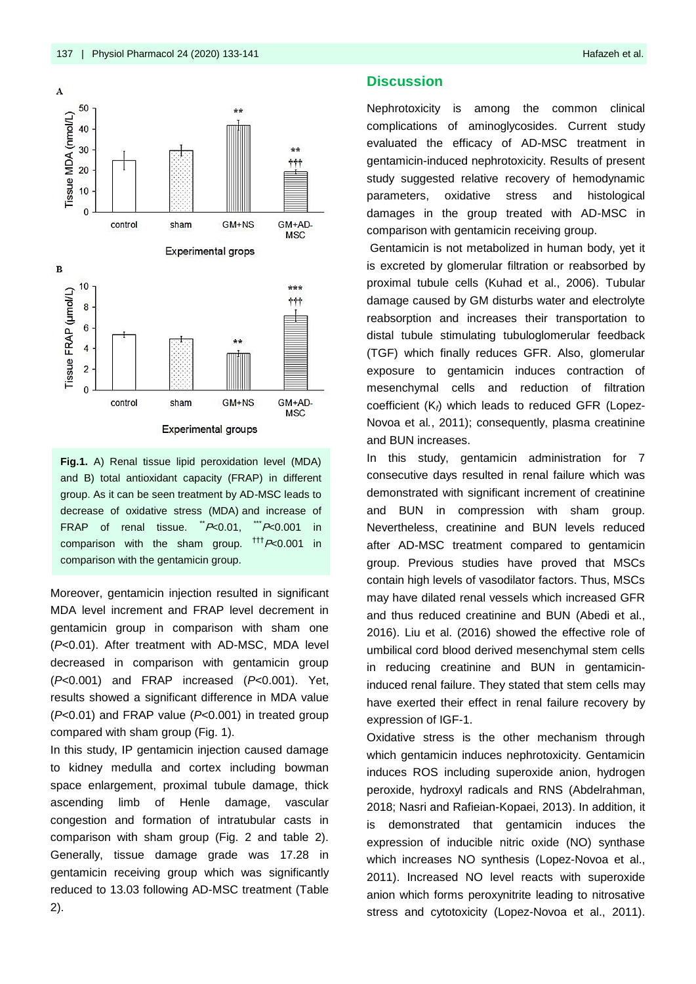

**Fig.1.** A) Renal tissue lipid peroxidation level (MDA) and B) total antioxidant capacity (FRAP) in different group. As it can be seen treatment by AD-MSC leads to decrease of oxidative stress (MDA) and increase of FRAP of renal tissue.  $P<sub>0.01</sub>$ ,  $P<sub>0.001</sub>$  in comparison with the sham group.  $^{ttt}P<0.001$  in comparison with the gentamicin group.

Moreover, gentamicin injection resulted in significant MDA level increment and FRAP level decrement in gentamicin group in comparison with sham one (*P*<0.01). After treatment with AD-MSC, MDA level decreased in comparison with gentamicin group (*P*<0.001) and FRAP increased (*P*<0.001). Yet, results showed a significant difference in MDA value (*P*<0.01) and FRAP value (*P*<0.001) in treated group compared with sham group (Fig. 1).

In this study, IP gentamicin injection caused damage to kidney medulla and cortex including bowman space enlargement, proximal tubule damage, thick ascending limb of Henle damage, vascular congestion and formation of intratubular casts in comparison with sham group (Fig. 2 and table 2). Generally, tissue damage grade was 17.28 in gentamicin receiving group which was significantly reduced to 13.03 following AD-MSC treatment (Table 2).

### **Discussion**

Nephrotoxicity is among the common clinical complications of aminoglycosides. Current study evaluated the efficacy of AD-MSC treatment in gentamicin-induced nephrotoxicity. Results of present study suggested relative recovery of hemodynamic parameters, oxidative stress and histological damages in the group treated with AD-MSC in comparison with gentamicin receiving group.

Gentamicin is not metabolized in human body, yet it is excreted by glomerular filtration or reabsorbed by proximal tubule cells (Kuhad et al., 2006). Tubular damage caused by GM disturbs water and electrolyte reabsorption and increases their transportation to distal tubule stimulating tubuloglomerular feedback (TGF) which finally reduces GFR. Also, glomerular exposure to gentamicin induces contraction of mesenchymal cells and reduction of filtration coefficient (K*f*) which leads to reduced GFR (Lopez-Novoa et al*.*, 2011); consequently, plasma creatinine and BUN increases.

In this study, gentamicin administration for 7 consecutive days resulted in renal failure which was demonstrated with significant increment of creatinine and BUN in compression with sham group. Nevertheless, creatinine and BUN levels reduced after AD-MSC treatment compared to gentamicin group. Previous studies have proved that MSCs contain high levels of vasodilator factors. Thus, MSCs may have dilated renal vessels which increased GFR and thus reduced creatinine and BUN (Abedi et al., 2016). Liu et al. (2016) showed the effective role of umbilical cord blood derived mesenchymal stem cells in reducing creatinine and BUN in gentamicininduced renal failure. They stated that stem cells may have exerted their effect in renal failure recovery by expression of IGF-1.

Oxidative stress is the other mechanism through which gentamicin induces nephrotoxicity. Gentamicin induces ROS including superoxide anion, hydrogen peroxide, hydroxyl radicals and RNS (Abdelrahman, 2018; Nasri and Rafieian-Kopaei, 2013). In addition, it is demonstrated that gentamicin induces the expression of inducible nitric oxide (NO) synthase which increases NO synthesis (Lopez-Novoa et al., 2011). Increased NO level reacts with superoxide anion which forms peroxynitrite leading to nitrosative stress and cytotoxicity (Lopez-Novoa et al., 2011).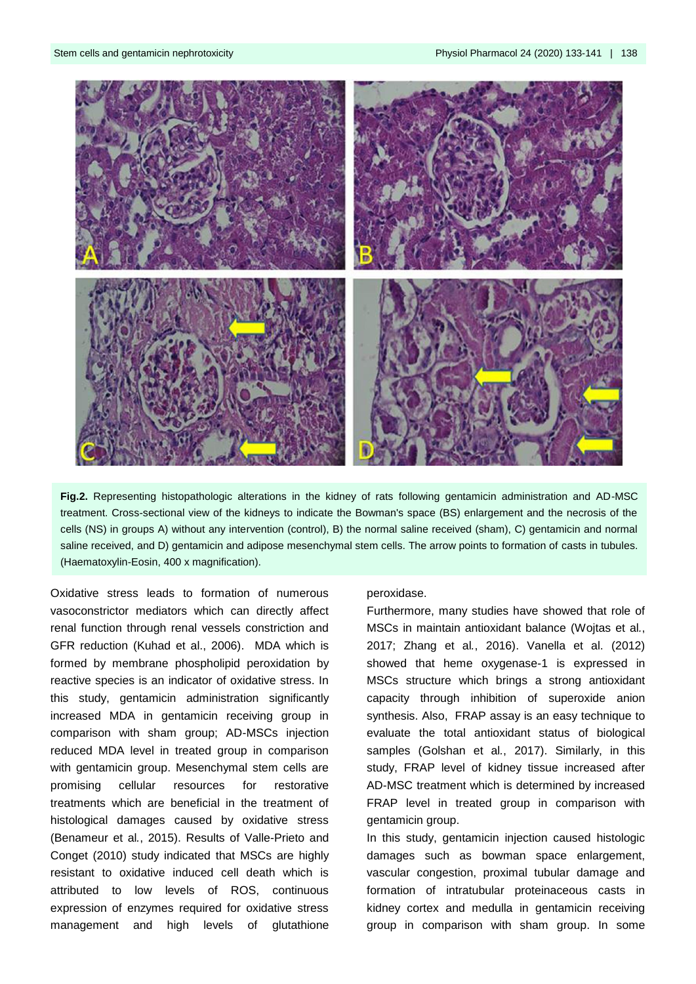

**Fig.2.** Representing histopathologic alterations in the kidney of rats following gentamicin administration and AD-MSC treatment. Cross-sectional view of the kidneys to indicate the Bowman's space (BS) enlargement and the necrosis of the cells (NS) in groups A) without any intervention (control), B) the normal saline received (sham), C) gentamicin and normal saline received, and D) gentamicin and adipose mesenchymal stem cells. The arrow points to formation of casts in tubules. (Haematoxylin-Eosin, 400 x magnification).

Oxidative stress leads to formation of numerous vasoconstrictor mediators which can directly affect renal function through renal vessels constriction and GFR reduction (Kuhad et al., 2006). MDA which is formed by membrane phospholipid peroxidation by reactive species is an indicator of oxidative stress. In this study, gentamicin administration significantly increased MDA in gentamicin receiving group in comparison with sham group; AD-MSCs injection reduced MDA level in treated group in comparison with gentamicin group. Mesenchymal stem cells are promising cellular resources for restorative treatments which are beneficial in the treatment of histological damages caused by oxidative stress (Benameur et al*.*, 2015). Results of Valle-Prieto and Conget (2010) study indicated that MSCs are highly resistant to oxidative induced cell death which is attributed to low levels of ROS, continuous expression of enzymes required for oxidative stress management and high levels of glutathione

#### peroxidase.

Furthermore, many studies have showed that role of MSCs in maintain antioxidant balance (Wojtas et al*.*, 2017; Zhang et al*.*, 2016). Vanella et al. (2012) showed that heme oxygenase-1 is expressed in MSCs structure which brings a strong antioxidant capacity through inhibition of superoxide anion synthesis. Also, FRAP assay is an easy technique to evaluate the total antioxidant status of biological samples (Golshan et al*.*, 2017). Similarly, in this study, FRAP level of kidney tissue increased after AD-MSC treatment which is determined by increased FRAP level in treated group in comparison with gentamicin group.

In this study, gentamicin injection caused histologic damages such as bowman space enlargement, vascular congestion, proximal tubular damage and formation of intratubular proteinaceous casts in kidney cortex and medulla in gentamicin receiving group in comparison with sham group. In some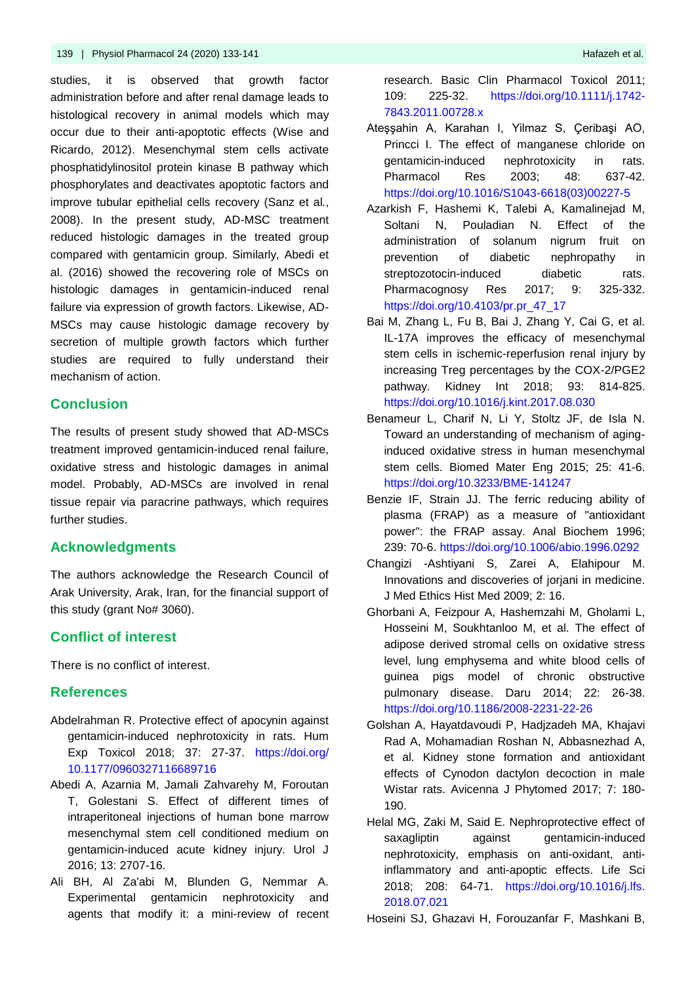studies, it is observed that growth factor administration before and after renal damage leads to histological recovery in animal models which may occur due to their anti-apoptotic effects (Wise and Ricardo, 2012). Mesenchymal stem cells activate phosphatidylinositol protein kinase B pathway which phosphorylates and deactivates apoptotic factors and improve tubular epithelial cells recovery (Sanz et al*.*, 2008). In the present study, AD-MSC treatment reduced histologic damages in the treated group compared with gentamicin group. Similarly, Abedi et al. (2016) showed the recovering role of MSCs on histologic damages in gentamicin-induced renal failure via expression of growth factors. Likewise, AD-MSCs may cause histologic damage recovery by secretion of multiple growth factors which further studies are required to fully understand their mechanism of action.

## **Conclusion**

The results of present study showed that AD-MSCs treatment improved gentamicin-induced renal failure, oxidative stress and histologic damages in animal model. Probably, AD-MSCs are involved in renal tissue repair via paracrine pathways, which requires further studies.

## **Acknowledgments**

The authors acknowledge the Research Council of Arak University, Arak, Iran, for the financial support of this study (grant No# 3060).

# **Conflict of interest**

There is no conflict of interest.

## **References**

- Abdelrahman R. Protective effect of apocynin against gentamicin-induced nephrotoxicity in rats. Hum Exp Toxicol 2018; 37: 27-37. [https://doi.org/](https://doi.org/10.1177/0960327116689716) [10.1177/0960327116689716](https://doi.org/10.1177/0960327116689716)
- Abedi A, Azarnia M, Jamali Zahvarehy M, Foroutan T, Golestani S. Effect of different times of intraperitoneal injections of human bone marrow mesenchymal stem cell conditioned medium on gentamicin-induced acute kidney injury. Urol J 2016; 13: 2707-16.
- Ali BH, Al Za'abi M, Blunden G, Nemmar A. Experimental gentamicin nephrotoxicity and agents that modify it: a mini-review of recent

research. Basic Clin Pharmacol Toxicol 2011; 109: 225-32. https://doi.org/10.1111/j.1742- 7843.2011.00728.x

- Ateşşahin A, Karahan I, Yilmaz S, Çeribaşi AO, Princci I. The effect of manganese chloride on gentamicin-induced nephrotoxicity in rats. Pharmacol Res 2003; 48: 637-42. https://doi.org/10.1016/S1043-6618(03)00227-5
- Azarkish F, Hashemi K, Talebi A, Kamalinejad M, Soltani N, Pouladian N. Effect of the administration of solanum nigrum fruit on prevention of diabetic nephropathy in streptozotocin-induced diabetic rats. Pharmacognosy Res 2017; 9: 325-332. https://doi.org/10.4103/pr.pr\_47\_17
- Bai M, Zhang L, Fu B, Bai J, Zhang Y, Cai G, et al. IL-17A improves the efficacy of mesenchymal stem cells in ischemic-reperfusion renal injury by increasing Treg percentages by the COX-2/PGE2 pathway. Kidney Int 2018; 93: 814-825. https://doi.org/10.1016/j.kint.2017.08.030
- Benameur L, Charif N, Li Y, Stoltz JF, de Isla N. Toward an understanding of mechanism of aginginduced oxidative stress in human mesenchymal stem cells. Biomed Mater Eng 2015; 25: 41-6. https://doi.org/10.3233/BME-141247
- Benzie IF, Strain JJ. The ferric reducing ability of plasma (FRAP) as a measure of "antioxidant power": the FRAP assay. Anal Biochem 1996; 239: 70-6. https://doi.org/10.1006/abio.1996.0292
- Changizi -Ashtiyani S, Zarei A, Elahipour M. Innovations and discoveries of jorjani in medicine. J Med Ethics Hist Med 2009; 2: 16.
- Ghorbani A, Feizpour A, Hashemzahi M, Gholami L, Hosseini M, Soukhtanloo M, et al. The effect of adipose derived stromal cells on oxidative stress level, lung emphysema and white blood cells of guinea pigs model of chronic obstructive pulmonary disease. Daru 2014; 22: 26-38. https://doi.org/10.1186/2008-2231-22-26
- Golshan A, Hayatdavoudi P, Hadjzadeh MA, Khajavi Rad A, Mohamadian Roshan N, Abbasnezhad A, et al. Kidney stone formation and antioxidant effects of Cynodon dactylon decoction in male Wistar rats. Avicenna J Phytomed 2017; 7: 180- 190.
- Helal MG, Zaki M, Said E. Nephroprotective effect of saxagliptin against gentamicin-induced nephrotoxicity, emphasis on anti-oxidant, antiinflammatory and anti-apoptic effects. Life Sci 2018; 208: 64-71. https://doi.org/10.1016/j.lfs. 2018.07.021

Hoseini SJ, Ghazavi H, Forouzanfar F, Mashkani B,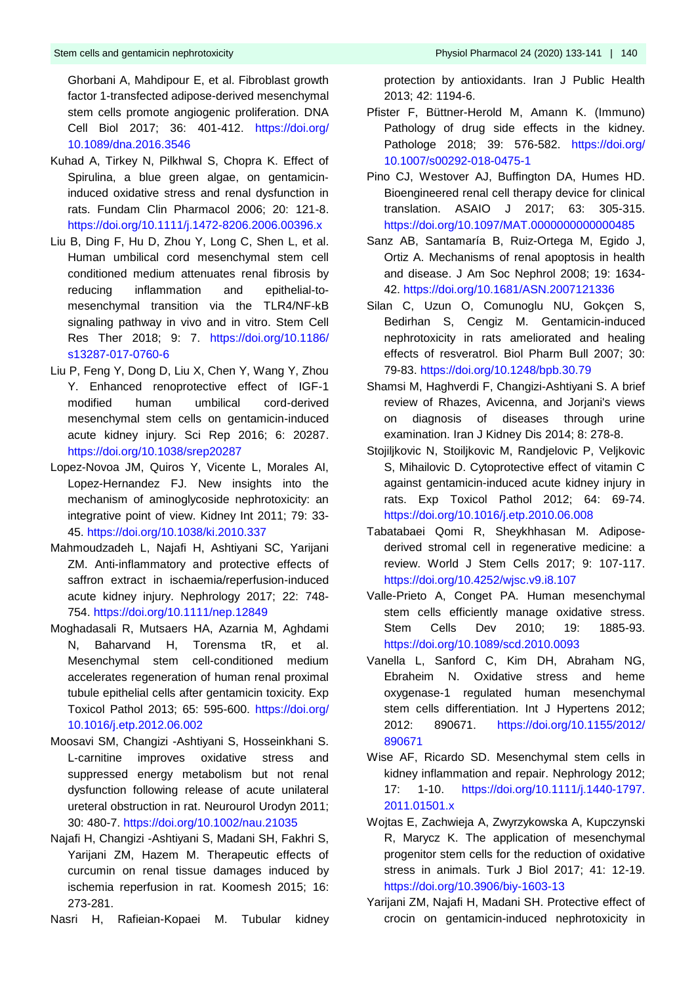Ghorbani A, Mahdipour E, et al. Fibroblast growth factor 1-transfected adipose-derived mesenchymal stem cells promote angiogenic proliferation. DNA Cell Biol 2017; 36: 401-412. https://doi.org/ 10.1089/dna.2016.3546

- Kuhad A, Tirkey N, Pilkhwal S, Chopra K. Effect of Spirulina, a blue green algae, on gentamicin‐ induced oxidative stress and renal dysfunction in rats. Fundam Clin Pharmacol 2006; 20: 121-8. <https://doi.org/10.1111/j.1472-8206.2006.00396.x>
- Liu B, Ding F, Hu D, Zhou Y, Long C, Shen L, et al. Human umbilical cord mesenchymal stem cell conditioned medium attenuates renal fibrosis by reducing inflammation and epithelial-tomesenchymal transition via the TLR4/NF-kB signaling pathway in vivo and in vitro. Stem Cell Res Ther 2018; 9: 7. https://doi.org/10.1186/ s13287-017-0760-6
- Liu P, Feng Y, Dong D, Liu X, Chen Y, Wang Y, Zhou Y. Enhanced renoprotective effect of IGF-1 modified human umbilical cord-derived mesenchymal stem cells on gentamicin-induced acute kidney injury. Sci Rep 2016; 6: 20287. https://doi.org/10.1038/srep20287
- Lopez-Novoa JM, Quiros Y, Vicente L, Morales AI, Lopez-Hernandez FJ. New insights into the mechanism of aminoglycoside nephrotoxicity: an integrative point of view. Kidney Int 2011; 79: 33- 45. https://doi.org/10.1038/ki.2010.337
- Mahmoudzadeh L, Najafi H, Ashtiyani SC, Yarijani ZM. Anti-inflammatory and protective effects of saffron extract in ischaemia/reperfusion-induced acute kidney injury. Nephrology 2017; 22: 748- 754. https://doi.org/10.1111/nep.12849
- Moghadasali R, Mutsaers HA, Azarnia M, Aghdami N, Baharvand H, Torensma tR, et al. Mesenchymal stem cell-conditioned medium accelerates regeneration of human renal proximal tubule epithelial cells after gentamicin toxicity. Exp Toxicol Pathol 2013; 65: 595-600. https://doi.org/ 10.1016/j.etp.2012.06.002
- Moosavi SM, Changizi -Ashtiyani S, Hosseinkhani S. L‐carnitine improves oxidative stress and suppressed energy metabolism but not renal dysfunction following release of acute unilateral ureteral obstruction in rat. Neurourol Urodyn 2011; 30: 480-7. https://doi.org/10.1002/nau.21035
- Najafi H, Changizi -Ashtiyani S, Madani SH, Fakhri S, Yarijani ZM, Hazem M. Therapeutic effects of curcumin on renal tissue damages induced by ischemia reperfusion in rat. Koomesh 2015; 16: 273-281.
- Nasri H, Rafieian-Kopaei M. Tubular kidney

protection by antioxidants. Iran J Public Health 2013; 42: 1194-6.

- Pfister F, Büttner-Herold M, Amann K. (Immuno) Pathology of drug side effects in the kidney. Pathologe 2018; 39: 576-582. https://doi.org/ 10.1007/s00292-018-0475-1
- Pino CJ, Westover AJ, Buffington DA, Humes HD. Bioengineered renal cell therapy device for clinical translation. ASAIO J 2017; 63: 305-315. https://doi.org/10.1097/MAT.0000000000000485
- Sanz AB, Santamaría B, Ruiz-Ortega M, Egido J, Ortiz A. Mechanisms of renal apoptosis in health and disease. J Am Soc Nephrol 2008; 19: 1634- 42. https://doi.org/10.1681/ASN.2007121336
- Silan C, Uzun O, Comunoglu NU, Gokçen S, Bedirhan S, Cengiz M. Gentamicin-induced nephrotoxicity in rats ameliorated and healing effects of resveratrol. Biol Pharm Bull 2007; 30: 79-83. https://doi.org/10.1248/bpb.30.79
- Shamsi M, Haghverdi F, Changizi-Ashtiyani S. A brief review of Rhazes, Avicenna, and Jorjani's views on diagnosis of diseases through urine examination. Iran J Kidney Dis 2014; 8: 278-8.
- Stojiljkovic N, Stoiljkovic M, Randjelovic P, Veljkovic S, Mihailovic D. Cytoprotective effect of vitamin C against gentamicin-induced acute kidney injury in rats. Exp Toxicol Pathol 2012; 64: 69-74. <https://doi.org/10.1016/j.etp.2010.06.008>
- Tabatabaei Qomi R, Sheykhhasan M. Adiposederived stromal cell in regenerative medicine: a review. World J Stem Cells 2017; 9: 107-117. <https://doi.org/10.4252/wjsc.v9.i8.107>
- Valle-Prieto A, Conget PA. Human mesenchymal stem cells efficiently manage oxidative stress. Stem Cells Dev 2010; 19: 1885-93. https://doi.org/10.1089/scd.2010.0093
- Vanella L, Sanford C, Kim DH, Abraham NG, Ebraheim N. Oxidative stress and heme oxygenase-1 regulated human mesenchymal stem cells differentiation. Int J Hypertens 2012; 2012: 890671. https://doi.org/10.1155/2012/ 890671
- Wise AF, Ricardo SD. Mesenchymal stem cells in kidney inflammation and repair. Nephrology 2012; 17: 1-10. https://doi.org/10.1111/j.1440-1797. 2011.01501.x
- Wojtas E, Zachwieja A, Zwyrzykowska A, Kupczynski R, Marycz K. The application of mesenchymal progenitor stem cells for the reduction of oxidative stress in animals. Turk J Biol 2017; 41: 12-19. https://doi.org/10.3906/biy-1603-13
- Yarijani ZM, Najafi H, Madani SH. Protective effect of crocin on gentamicin-induced nephrotoxicity in